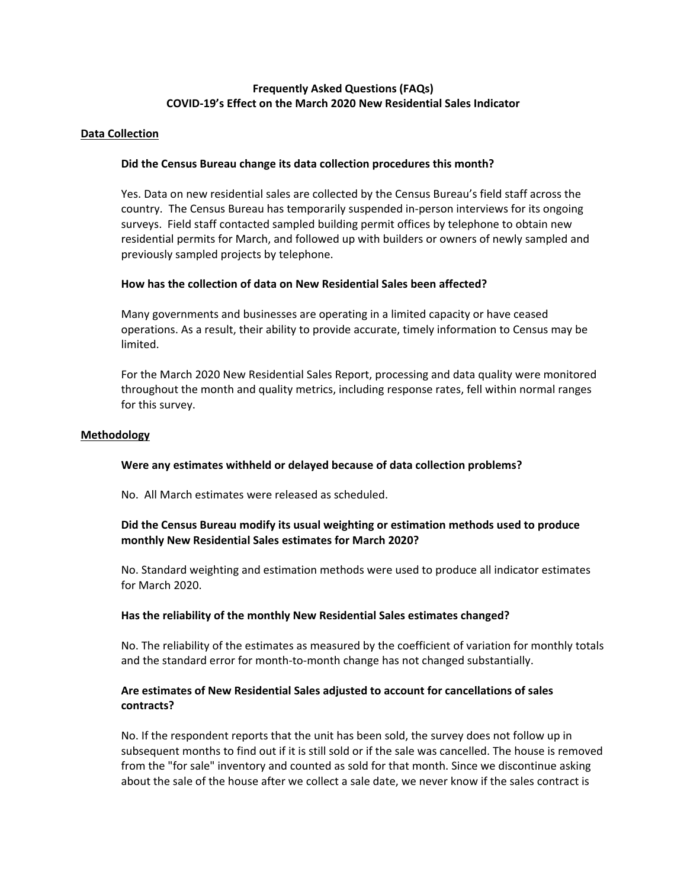# **Frequently Asked Questions (FAQs) COVID‐19's Effect on the March 2020 New Residential Sales Indicator**

### **Data Collection**

### **Did the Census Bureau change its data collection procedures this month?**

Yes. Data on new residential sales are collected by the Census Bureau's field staff across the country. The Census Bureau has temporarily suspended in‐person interviews for its ongoing surveys. Field staff contacted sampled building permit offices by telephone to obtain new residential permits for March, and followed up with builders or owners of newly sampled and previously sampled projects by telephone.

### **How has the collection of data on New Residential Sales been affected?**

Many governments and businesses are operating in a limited capacity or have ceased operations. As a result, their ability to provide accurate, timely information to Census may be limited.

For the March 2020 New Residential Sales Report, processing and data quality were monitored throughout the month and quality metrics, including response rates, fell within normal ranges for this survey.

#### **Methodology**

## **Were any estimates withheld or delayed because of data collection problems?**

No. All March estimates were released as scheduled.

# **Did the Census Bureau modify its usual weighting or estimation methods used to produce monthly New Residential Sales estimates for March 2020?**

No. Standard weighting and estimation methods were used to produce all indicator estimates for March 2020.

#### **Has the reliability of the monthly New Residential Sales estimates changed?**

No. The reliability of the estimates as measured by the coefficient of variation for monthly totals and the standard error for month-to-month change has not changed substantially.

# **Are estimates of New Residential Sales adjusted to account for cancellations of sales contracts?**

No. If the respondent reports that the unit has been sold, the survey does not follow up in subsequent months to find out if it is still sold or if the sale was cancelled. The house is removed from the "for sale" inventory and counted as sold for that month. Since we discontinue asking about the sale of the house after we collect a sale date, we never know if the sales contract is